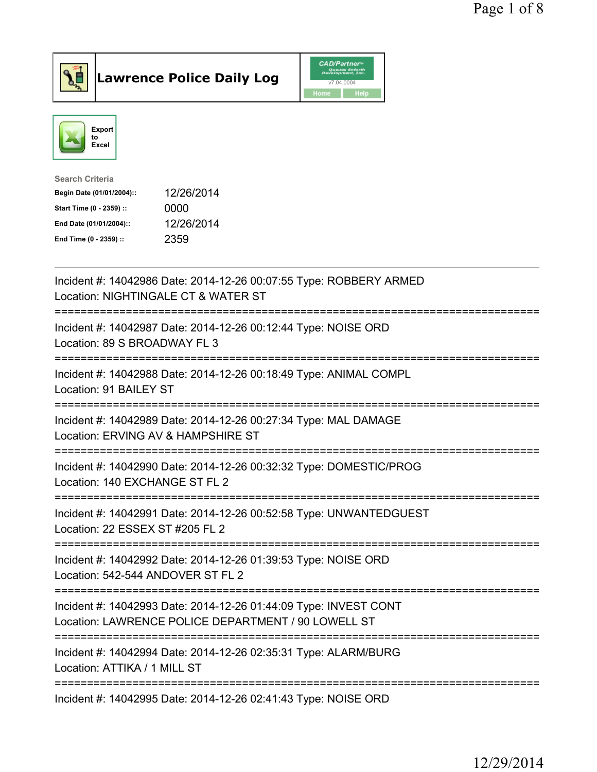



| <b>Search Criteria</b>    |            |
|---------------------------|------------|
| Begin Date (01/01/2004):: | 12/26/2014 |
| Start Time (0 - 2359) ::  | 0000       |
| End Date (01/01/2004)::   | 12/26/2014 |
| End Time (0 - 2359) ::    | 2359       |

| Incident #: 14042986 Date: 2014-12-26 00:07:55 Type: ROBBERY ARMED<br>Location: NIGHTINGALE CT & WATER ST                                                               |
|-------------------------------------------------------------------------------------------------------------------------------------------------------------------------|
| Incident #: 14042987 Date: 2014-12-26 00:12:44 Type: NOISE ORD<br>Location: 89 S BROADWAY FL 3                                                                          |
| Incident #: 14042988 Date: 2014-12-26 00:18:49 Type: ANIMAL COMPL<br>Location: 91 BAILEY ST<br>===============                                                          |
| Incident #: 14042989 Date: 2014-12-26 00:27:34 Type: MAL DAMAGE<br>Location: ERVING AV & HAMPSHIRE ST<br>---------------------------------<br>========================= |
| Incident #: 14042990 Date: 2014-12-26 00:32:32 Type: DOMESTIC/PROG<br>Location: 140 EXCHANGE ST FL 2<br>-------------                                                   |
| Incident #: 14042991 Date: 2014-12-26 00:52:58 Type: UNWANTEDGUEST<br>Location: 22 ESSEX ST #205 FL 2                                                                   |
| Incident #: 14042992 Date: 2014-12-26 01:39:53 Type: NOISE ORD<br>Location: 542-544 ANDOVER ST FL 2                                                                     |
| Incident #: 14042993 Date: 2014-12-26 01:44:09 Type: INVEST CONT<br>Location: LAWRENCE POLICE DEPARTMENT / 90 LOWELL ST                                                 |
| -------------------------<br>Incident #: 14042994 Date: 2014-12-26 02:35:31 Type: ALARM/BURG<br>Location: ATTIKA / 1 MILL ST                                            |
| Incident #: 14042995 Date: 2014-12-26 02:41:43 Type: NOISE ORD                                                                                                          |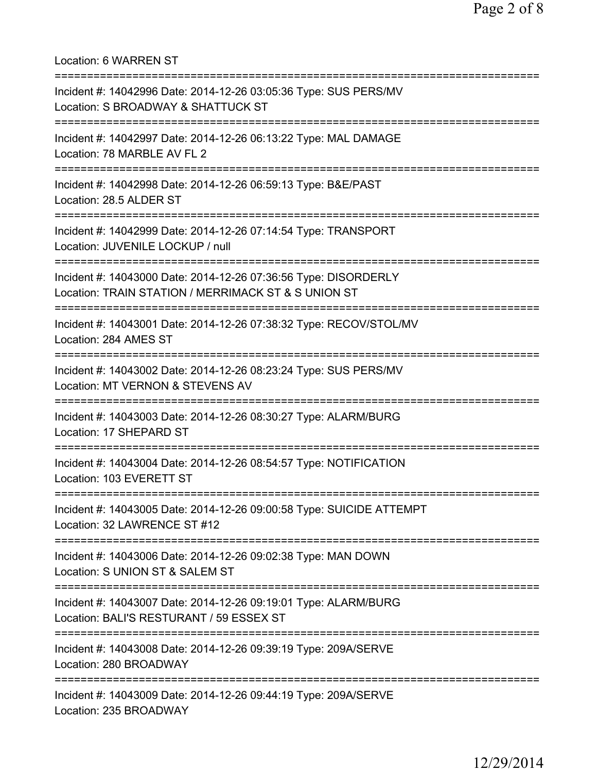Location: 6 WARREN ST =========================================================================== Incident #: 14042996 Date: 2014-12-26 03:05:36 Type: SUS PERS/MV Location: S BROADWAY & SHATTUCK ST =========================================================================== Incident #: 14042997 Date: 2014-12-26 06:13:22 Type: MAL DAMAGE Location: 78 MARBLE AV FL 2 =========================================================================== Incident #: 14042998 Date: 2014-12-26 06:59:13 Type: B&E/PAST Location: 28.5 ALDER ST =========================================================================== Incident #: 14042999 Date: 2014-12-26 07:14:54 Type: TRANSPORT Location: JUVENILE LOCKUP / null =========================================================================== Incident #: 14043000 Date: 2014-12-26 07:36:56 Type: DISORDERLY Location: TRAIN STATION / MERRIMACK ST & S UNION ST =========================================================================== Incident #: 14043001 Date: 2014-12-26 07:38:32 Type: RECOV/STOL/MV Location: 284 AMES ST =========================================================================== Incident #: 14043002 Date: 2014-12-26 08:23:24 Type: SUS PERS/MV Location: MT VERNON & STEVENS AV =========================================================================== Incident #: 14043003 Date: 2014-12-26 08:30:27 Type: ALARM/BURG Location: 17 SHEPARD ST =========================================================================== Incident #: 14043004 Date: 2014-12-26 08:54:57 Type: NOTIFICATION Location: 103 EVERETT ST =========================================================================== Incident #: 14043005 Date: 2014-12-26 09:00:58 Type: SUICIDE ATTEMPT Location: 32 LAWRENCE ST #12 =========================================================================== Incident #: 14043006 Date: 2014-12-26 09:02:38 Type: MAN DOWN Location: S UNION ST & SALEM ST =========================================================================== Incident #: 14043007 Date: 2014-12-26 09:19:01 Type: ALARM/BURG Location: BALI'S RESTURANT / 59 ESSEX ST =========================================================================== Incident #: 14043008 Date: 2014-12-26 09:39:19 Type: 209A/SERVE Location: 280 BROADWAY =========================================================================== Incident #: 14043009 Date: 2014-12-26 09:44:19 Type: 209A/SERVE Location: 235 BROADWAY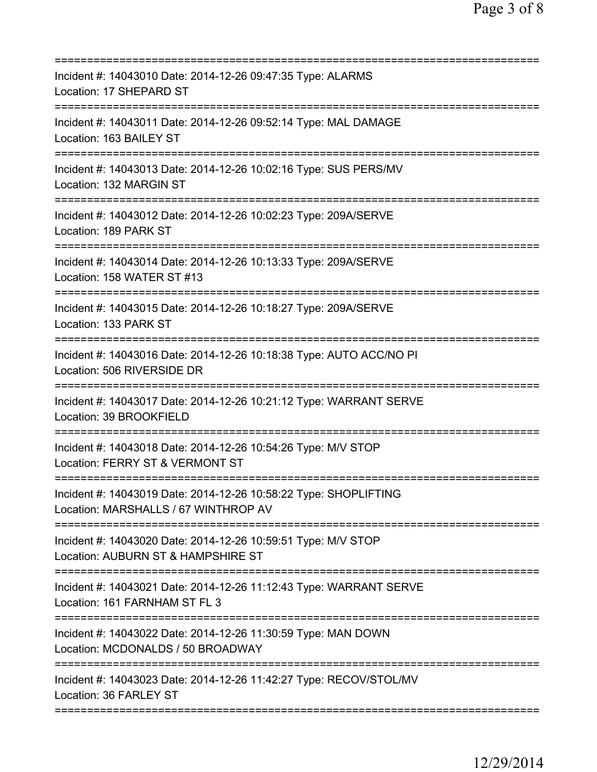| Incident #: 14043010 Date: 2014-12-26 09:47:35 Type: ALARMS<br>Location: 17 SHEPARD ST<br>===================       |
|---------------------------------------------------------------------------------------------------------------------|
| Incident #: 14043011 Date: 2014-12-26 09:52:14 Type: MAL DAMAGE<br>Location: 163 BAILEY ST                          |
| Incident #: 14043013 Date: 2014-12-26 10:02:16 Type: SUS PERS/MV<br>Location: 132 MARGIN ST                         |
| Incident #: 14043012 Date: 2014-12-26 10:02:23 Type: 209A/SERVE<br>Location: 189 PARK ST                            |
| Incident #: 14043014 Date: 2014-12-26 10:13:33 Type: 209A/SERVE<br>Location: 158 WATER ST #13                       |
| =======================<br>Incident #: 14043015 Date: 2014-12-26 10:18:27 Type: 209A/SERVE<br>Location: 133 PARK ST |
| Incident #: 14043016 Date: 2014-12-26 10:18:38 Type: AUTO ACC/NO PI<br>Location: 506 RIVERSIDE DR                   |
| Incident #: 14043017 Date: 2014-12-26 10:21:12 Type: WARRANT SERVE<br>Location: 39 BROOKFIELD                       |
| Incident #: 14043018 Date: 2014-12-26 10:54:26 Type: M/V STOP<br>Location: FERRY ST & VERMONT ST                    |
| Incident #: 14043019 Date: 2014-12-26 10:58:22 Type: SHOPLIFTING<br>Location: MARSHALLS / 67 WINTHROP AV            |
| Incident #: 14043020 Date: 2014-12-26 10:59:51 Type: M/V STOP<br>Location: AUBURN ST & HAMPSHIRE ST                 |
| Incident #: 14043021 Date: 2014-12-26 11:12:43 Type: WARRANT SERVE<br>Location: 161 FARNHAM ST FL 3                 |
| Incident #: 14043022 Date: 2014-12-26 11:30:59 Type: MAN DOWN<br>Location: MCDONALDS / 50 BROADWAY                  |
| Incident #: 14043023 Date: 2014-12-26 11:42:27 Type: RECOV/STOL/MV<br>Location: 36 FARLEY ST                        |
|                                                                                                                     |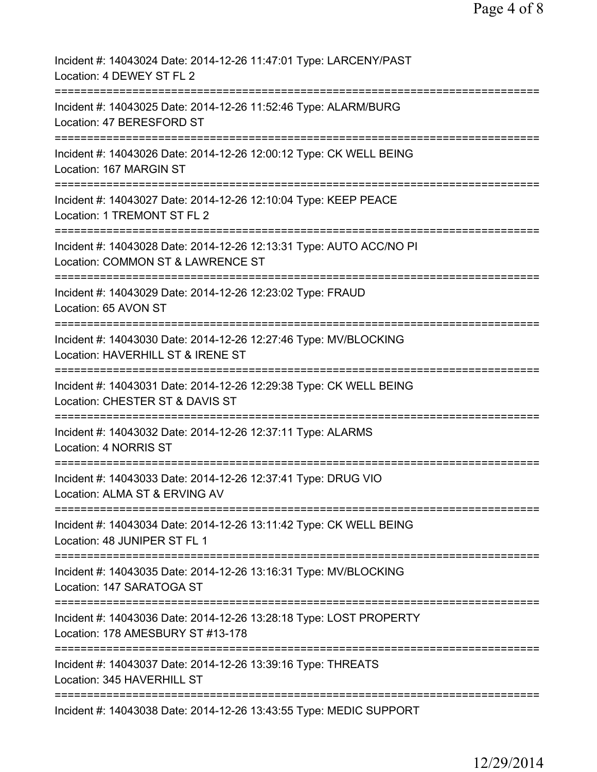| Incident #: 14043024 Date: 2014-12-26 11:47:01 Type: LARCENY/PAST<br>Location: 4 DEWEY ST FL 2           |
|----------------------------------------------------------------------------------------------------------|
| Incident #: 14043025 Date: 2014-12-26 11:52:46 Type: ALARM/BURG<br>Location: 47 BERESFORD ST             |
| Incident #: 14043026 Date: 2014-12-26 12:00:12 Type: CK WELL BEING<br>Location: 167 MARGIN ST            |
| Incident #: 14043027 Date: 2014-12-26 12:10:04 Type: KEEP PEACE<br>Location: 1 TREMONT ST FL 2           |
| Incident #: 14043028 Date: 2014-12-26 12:13:31 Type: AUTO ACC/NO PI<br>Location: COMMON ST & LAWRENCE ST |
| Incident #: 14043029 Date: 2014-12-26 12:23:02 Type: FRAUD<br>Location: 65 AVON ST                       |
| Incident #: 14043030 Date: 2014-12-26 12:27:46 Type: MV/BLOCKING<br>Location: HAVERHILL ST & IRENE ST    |
| Incident #: 14043031 Date: 2014-12-26 12:29:38 Type: CK WELL BEING<br>Location: CHESTER ST & DAVIS ST    |
| :===========<br>Incident #: 14043032 Date: 2014-12-26 12:37:11 Type: ALARMS<br>Location: 4 NORRIS ST     |
| Incident #: 14043033 Date: 2014-12-26 12:37:41 Type: DRUG VIO<br>Location: ALMA ST & ERVING AV           |
| Incident #: 14043034 Date: 2014-12-26 13:11:42 Type: CK WELL BEING<br>Location: 48 JUNIPER ST FL 1       |
| Incident #: 14043035 Date: 2014-12-26 13:16:31 Type: MV/BLOCKING<br>Location: 147 SARATOGA ST            |
| Incident #: 14043036 Date: 2014-12-26 13:28:18 Type: LOST PROPERTY<br>Location: 178 AMESBURY ST #13-178  |
| Incident #: 14043037 Date: 2014-12-26 13:39:16 Type: THREATS<br>Location: 345 HAVERHILL ST               |
| Incident #: 14043038 Date: 2014-12-26 13:43:55 Type: MEDIC SUPPORT                                       |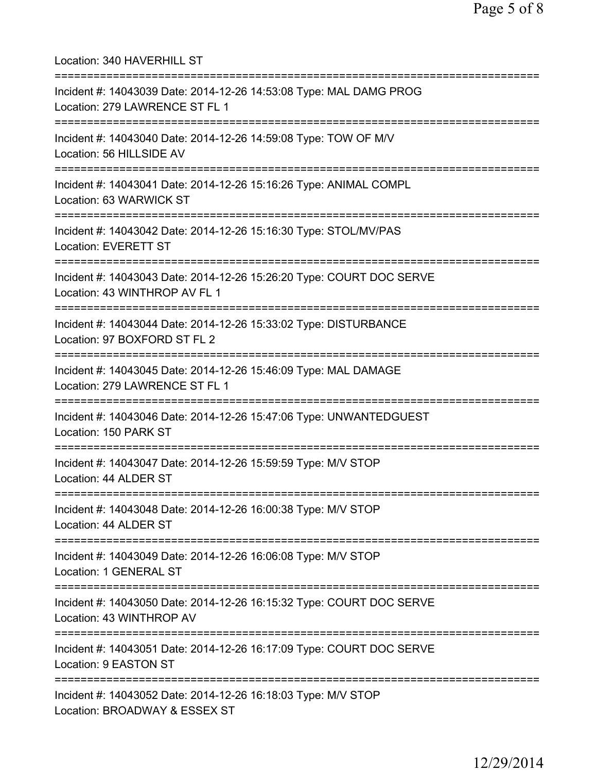Location: 340 HAVERHILL ST =========================================================================== Incident #: 14043039 Date: 2014-12-26 14:53:08 Type: MAL DAMG PROG Location: 279 LAWRENCE ST FL 1 =========================================================================== Incident #: 14043040 Date: 2014-12-26 14:59:08 Type: TOW OF M/V Location: 56 HILLSIDE AV =========================================================================== Incident #: 14043041 Date: 2014-12-26 15:16:26 Type: ANIMAL COMPL Location: 63 WARWICK ST =========================================================================== Incident #: 14043042 Date: 2014-12-26 15:16:30 Type: STOL/MV/PAS Location: EVERETT ST =========================================================================== Incident #: 14043043 Date: 2014-12-26 15:26:20 Type: COURT DOC SERVE Location: 43 WINTHROP AV FL 1 =========================================================================== Incident #: 14043044 Date: 2014-12-26 15:33:02 Type: DISTURBANCE Location: 97 BOXFORD ST FL 2 =========================================================================== Incident #: 14043045 Date: 2014-12-26 15:46:09 Type: MAL DAMAGE Location: 279 LAWRENCE ST FL 1 =========================================================================== Incident #: 14043046 Date: 2014-12-26 15:47:06 Type: UNWANTEDGUEST Location: 150 PARK ST =========================================================================== Incident #: 14043047 Date: 2014-12-26 15:59:59 Type: M/V STOP Location: 44 ALDER ST =========================================================================== Incident #: 14043048 Date: 2014-12-26 16:00:38 Type: M/V STOP Location: 44 ALDER ST =========================================================================== Incident #: 14043049 Date: 2014-12-26 16:06:08 Type: M/V STOP Location: 1 GENERAL ST =========================================================================== Incident #: 14043050 Date: 2014-12-26 16:15:32 Type: COURT DOC SERVE Location: 43 WINTHROP AV =========================================================================== Incident #: 14043051 Date: 2014-12-26 16:17:09 Type: COURT DOC SERVE Location: 9 EASTON ST =========================================================================== Incident #: 14043052 Date: 2014-12-26 16:18:03 Type: M/V STOP Location: BROADWAY & ESSEX ST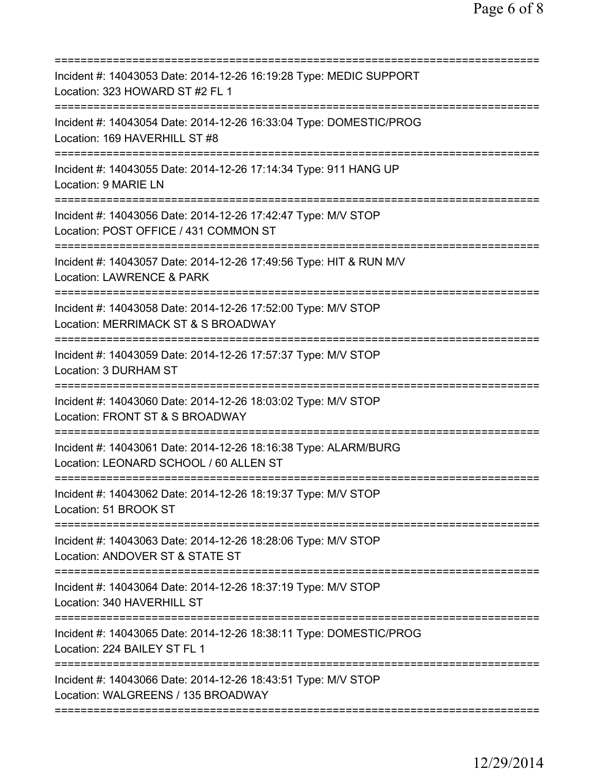| Incident #: 14043053 Date: 2014-12-26 16:19:28 Type: MEDIC SUPPORT<br>Location: 323 HOWARD ST #2 FL 1                                                                             |
|-----------------------------------------------------------------------------------------------------------------------------------------------------------------------------------|
| Incident #: 14043054 Date: 2014-12-26 16:33:04 Type: DOMESTIC/PROG<br>Location: 169 HAVERHILL ST #8                                                                               |
| Incident #: 14043055 Date: 2014-12-26 17:14:34 Type: 911 HANG UP<br>Location: 9 MARIE LN                                                                                          |
| Incident #: 14043056 Date: 2014-12-26 17:42:47 Type: M/V STOP<br>Location: POST OFFICE / 431 COMMON ST                                                                            |
| Incident #: 14043057 Date: 2014-12-26 17:49:56 Type: HIT & RUN M/V<br>Location: LAWRENCE & PARK                                                                                   |
| ======================================<br>Incident #: 14043058 Date: 2014-12-26 17:52:00 Type: M/V STOP<br>Location: MERRIMACK ST & S BROADWAY<br>=============================== |
| Incident #: 14043059 Date: 2014-12-26 17:57:37 Type: M/V STOP<br>Location: 3 DURHAM ST<br>========================                                                                |
| Incident #: 14043060 Date: 2014-12-26 18:03:02 Type: M/V STOP<br>Location: FRONT ST & S BROADWAY                                                                                  |
| Incident #: 14043061 Date: 2014-12-26 18:16:38 Type: ALARM/BURG<br>Location: LEONARD SCHOOL / 60 ALLEN ST                                                                         |
| Incident #: 14043062 Date: 2014-12-26 18:19:37 Type: M/V STOP<br>Location: 51 BROOK ST                                                                                            |
| Incident #: 14043063 Date: 2014-12-26 18:28:06 Type: M/V STOP<br>Location: ANDOVER ST & STATE ST<br>===========================                                                   |
| Incident #: 14043064 Date: 2014-12-26 18:37:19 Type: M/V STOP<br>Location: 340 HAVERHILL ST                                                                                       |
| Incident #: 14043065 Date: 2014-12-26 18:38:11 Type: DOMESTIC/PROG<br>Location: 224 BAILEY ST FL 1                                                                                |
| Incident #: 14043066 Date: 2014-12-26 18:43:51 Type: M/V STOP<br>Location: WALGREENS / 135 BROADWAY                                                                               |
|                                                                                                                                                                                   |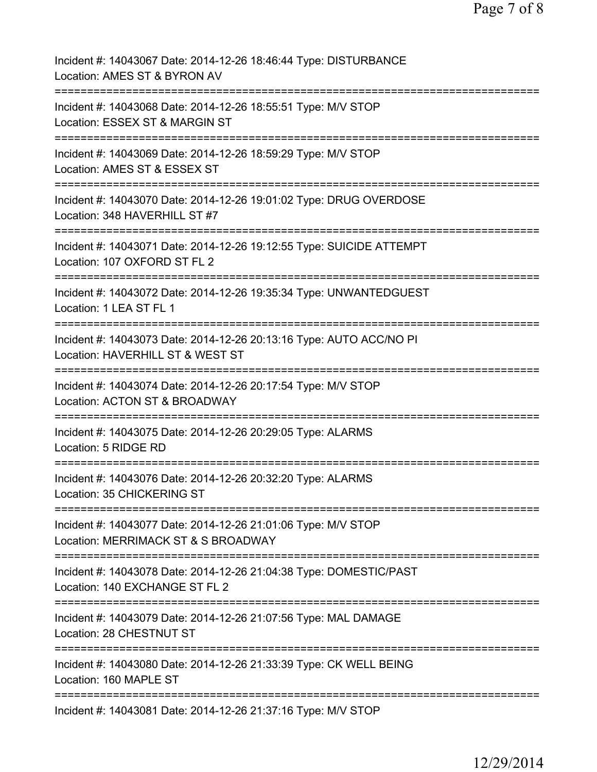| Incident #: 14043067 Date: 2014-12-26 18:46:44 Type: DISTURBANCE<br>Location: AMES ST & BYRON AV                 |
|------------------------------------------------------------------------------------------------------------------|
| Incident #: 14043068 Date: 2014-12-26 18:55:51 Type: M/V STOP<br>Location: ESSEX ST & MARGIN ST                  |
| Incident #: 14043069 Date: 2014-12-26 18:59:29 Type: M/V STOP<br>Location: AMES ST & ESSEX ST                    |
| Incident #: 14043070 Date: 2014-12-26 19:01:02 Type: DRUG OVERDOSE<br>Location: 348 HAVERHILL ST #7              |
| Incident #: 14043071 Date: 2014-12-26 19:12:55 Type: SUICIDE ATTEMPT<br>Location: 107 OXFORD ST FL 2             |
| Incident #: 14043072 Date: 2014-12-26 19:35:34 Type: UNWANTEDGUEST<br>Location: 1 LEA ST FL 1<br>=============== |
| Incident #: 14043073 Date: 2014-12-26 20:13:16 Type: AUTO ACC/NO PI<br>Location: HAVERHILL ST & WEST ST          |
| Incident #: 14043074 Date: 2014-12-26 20:17:54 Type: M/V STOP<br>Location: ACTON ST & BROADWAY                   |
| Incident #: 14043075 Date: 2014-12-26 20:29:05 Type: ALARMS<br>Location: 5 RIDGE RD                              |
| ===================<br>Incident #: 14043076 Date: 2014-12-26 20:32:20 Type: ALARMS<br>Location: 35 CHICKERING ST |
| Incident #: 14043077 Date: 2014-12-26 21:01:06 Type: M/V STOP<br>Location: MERRIMACK ST & S BROADWAY             |
| Incident #: 14043078 Date: 2014-12-26 21:04:38 Type: DOMESTIC/PAST<br>Location: 140 EXCHANGE ST FL 2             |
| Incident #: 14043079 Date: 2014-12-26 21:07:56 Type: MAL DAMAGE<br>Location: 28 CHESTNUT ST                      |
| Incident #: 14043080 Date: 2014-12-26 21:33:39 Type: CK WELL BEING<br>Location: 160 MAPLE ST                     |
| Incident #: 14043081 Date: 2014-12-26 21:37:16 Type: M/V STOP                                                    |